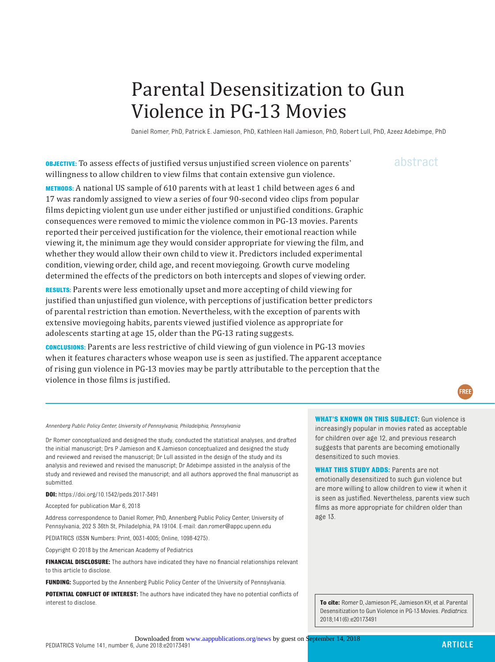# Parental Desensitization to Gun Violence in PG-13 Movies

Daniel Romer, PhD, Patrick E. Jamieson, PhD, Kathleen Hall Jamieson, PhD, Robert Lull, PhD, Azeez Adebimpe, PhD

**OBJECTIVE:** To assess effects of justified versus unjustified screen violence on parents' willingness to allow children to view films that contain extensive gun violence.

**METHODS:** A national US sample of 610 parents with at least 1 child between ages 6 and 17 was randomly assigned to view a series of four 90-second video clips from popular films depicting violent gun use under either justified or unjustified conditions. Graphic consequences were removed to mimic the violence common in PG-13 movies. Parents reported their perceived justification for the violence, their emotional reaction while viewing it, the minimum age they would consider appropriate for viewing the film, and whether they would allow their own child to view it. Predictors included experimental condition, viewing order, child age, and recent moviegoing. Growth curve modeling determined the effects of the predictors on both intercepts and slopes of viewing order.

**RESULTS:** Parents were less emotionally upset and more accepting of child viewing for justified than unjustified gun violence, with perceptions of justification better predictors of parental restriction than emotion. Nevertheless, with the exception of parents with extensive moviegoing habits, parents viewed justified violence as appropriate for adolescents starting at age 15, older than the PG-13 rating suggests.

**CONCLUSIONS:** Parents are less restrictive of child viewing of gun violence in PG-13 movies when it features characters whose weapon use is seen as justified. The apparent acceptance of rising gun violence in PG-13 movies may be partly attributable to the perception that the violence in those films is justified.

## abstract

**WHAT'S KNOWN ON THIS SUBJECT:** Gun violence is increasingly popular in movies rated as acceptable for children over age 12, and previous research suggests that parents are becoming emotionally desensitized to such movies.

**WHAT THIS STUDY ADDS:** Parents are not emotionally desensitized to such gun violence but are more willing to allow children to view it when it is seen as justified. Nevertheless, parents view such films as more appropriate for children older than age 13.

*Annenberg Public Policy Center, University of Pennsylvania, Philadelphia, Pennsylvania*

Dr Romer conceptualized and designed the study, conducted the statistical analyses, and drafted the initial manuscript; Drs P Jamieson and K Jamieson conceptualized and designed the study and reviewed and revised the manuscript; Dr Lull assisted in the design of the study and its analysis and reviewed and revised the manuscript; Dr Adebimpe assisted in the analysis of the study and reviewed and revised the manuscript; and all authors approved the final manuscript as submitted.

**DOI:**<https://doi.org/10.1542/peds.2017-3491>

Accepted for publication Mar 6, 2018

Address correspondence to Daniel Romer, PhD, Annenberg Public Policy Center, University of Pennsylvania, 202 S 36th St, Philadelphia, PA 19104. E-mail: [dan.romer@appc.upenn.edu](mailto:)

PEDIATRICS (ISSN Numbers: Print, 0031-4005; Online, 1098-4275).

Copyright © 2018 by the American Academy of Pediatrics

**FINANCIAL DISCLOSURE:** The authors have indicated they have no financial relationships relevant to this article to disclose.

FUNDING: Supported by the Annenberg Public Policy Center of the University of Pennsylvania.

**POTENTIAL CONFLICT OF INTEREST:** The authors have indicated they have no potential conflicts of interest to disclose.

**To cite:** Romer D, Jamieson PE, Jamieson KH, et al. Parental Desensitization to Gun Violence in PG-13 Movies. *Pediatrics.* 2018;141(6):e20173491

FREE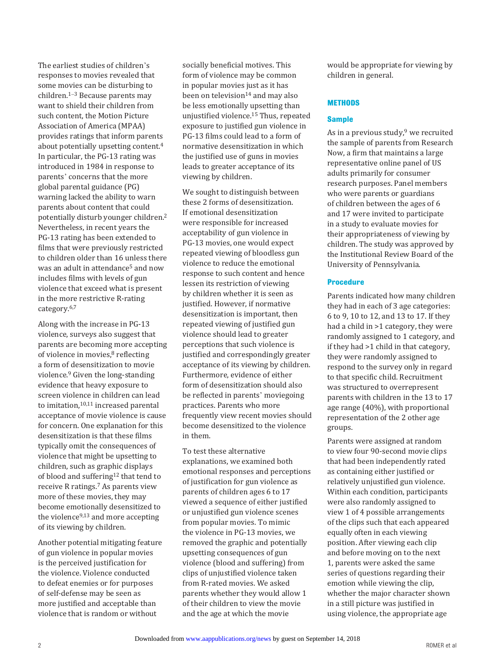The earliest studies of children's responses to movies revealed that some movies can be disturbing to children. [1](#page-7-0)–[3](#page-7-1) Because parents may want to shield their children from such content, the Motion Picture Association of America (MPAA) provides ratings that inform parents about potentially upsetting content. [4](#page-7-2) In particular, the PG-13 rating was introduced in 1984 in response to parents' concerns that the more global parental guidance (PG) warning lacked the ability to warn parents about content that could potentially disturb younger children.[2](#page-7-3) Nevertheless, in recent years the PG-13 rating has been extended to films that were previously restricted to children older than 16 unless there was an adult in attendance<sup>5</sup> and now includes films with levels of gun violence that exceed what is present in the more restrictive R-rating category. [6,](#page-7-5)[7](#page-7-6)

Along with the increase in PG-13 violence, surveys also suggest that parents are becoming more accepting of violence in movies,<sup>8</sup> reflecting a form of desensitization to movie violence. [9](#page-7-8) Given the long-standing evidence that heavy exposure to screen violence in children can lead to imitation, $10,11$  $10,11$  increased parental acceptance of movie violence is cause for concern. One explanation for this desensitization is that these films typically omit the consequences of violence that might be upsetting to children, such as graphic displays of blood and suffering<sup>[12](#page-7-11)</sup> that tend to receive R ratings. [7](#page-7-6) As parents view more of these movies, they may become emotionally desensitized to the violence<sup>[9,](#page-7-8)[13](#page-7-12)</sup> and more accepting of its viewing by children.

Another potential mitigating feature of gun violence in popular movies is the perceived justification for the violence. Violence conducted to defeat enemies or for purposes of self-defense may be seen as more justified and acceptable than violence that is random or without

socially beneficial motives. This form of violence may be common in popular movies just as it has been on television $14$  and may also be less emotionally upsetting than unjustified violence. [15](#page-7-14) Thus, repeated exposure to justified gun violence in PG-13 films could lead to a form of normative desensitization in which the justified use of guns in movies leads to greater acceptance of its viewing by children.

We sought to distinguish between these 2 forms of desensitization. If emotional desensitization were responsible for increased acceptability of gun violence in PG-13 movies, one would expect repeated viewing of bloodless gun violence to reduce the emotional response to such content and hence lessen its restriction of viewing by children whether it is seen as justified. However, if normative desensitization is important, then repeated viewing of justified gun violence should lead to greater perceptions that such violence is justified and correspondingly greater acceptance of its viewing by children. Furthermore, evidence of either form of desensitization should also be reflected in parents' moviegoing practices. Parents who more frequently view recent movies should become desensitized to the violence in them.

To test these alternative explanations, we examined both emotional responses and perceptions of justification for gun violence as parents of children ages 6 to 17 viewed a sequence of either justified or unjustified gun violence scenes from popular movies. To mimic the violence in PG-13 movies, we removed the graphic and potentially upsetting consequences of gun violence (blood and suffering) from clips of unjustified violence taken from R-rated movies. We asked parents whether they would allow 1 of their children to view the movie and the age at which the movie

would be appropriate for viewing by children in general.

#### **METHODS**

#### **Sample**

As in a previous study, $9$  we recruited the sample of parents from Research Now, a firm that maintains a large representative online panel of US adults primarily for consumer research purposes. Panel members who were parents or guardians of children between the ages of 6 and 17 were invited to participate in a study to evaluate movies for their appropriateness of viewing by children. The study was approved by the Institutional Review Board of the University of Pennsylvania.

#### **Procedure**

Parents indicated how many children they had in each of 3 age categories: 6 to 9, 10 to 12, and 13 to 17. If they had a child in >1 category, they were randomly assigned to 1 category, and if they had >1 child in that category, they were randomly assigned to respond to the survey only in regard to that specific child. Recruitment was structured to overrepresent parents with children in the 13 to 17 age range (40%), with proportional representation of the 2 other age groups.

Parents were assigned at random to view four 90-second movie clips that had been independently rated as containing either justified or relatively unjustified gun violence. Within each condition, participants were also randomly assigned to view 1 of 4 possible arrangements of the clips such that each appeared equally often in each viewing position. After viewing each clip and before moving on to the next 1, parents were asked the same series of questions regarding their emotion while viewing the clip, whether the major character shown in a still picture was justified in using violence, the appropriate age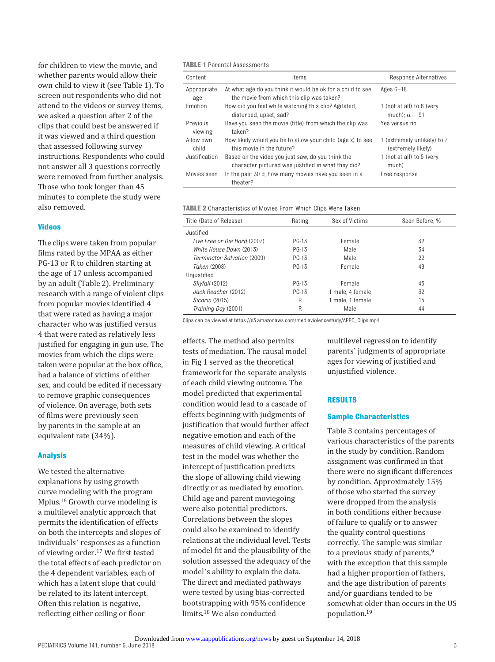for children to view the movie, and whether parents would allow their own child to view it (see Table 1). To screen out respondents who did not attend to the videos or survey items, we asked a question after 2 of the clips that could best be answered if it was viewed and a third question that assessed following survey instructions. Respondents who could not answer all 3 questions correctly were removed from further analysis. Those who took longer than 45 minutes to complete the study were also removed.

#### **Videos**

The clips were taken from popular films rated by the MPAA as either PG-13 or R to children starting at the age of 17 unless accompanied by an adult (Table 2). Preliminary research with a range of violent clips from popular movies identified 4 that were rated as having a major character who was justified versus 4 that were rated as relatively less justified for engaging in gun use. The movies from which the clips were taken were popular at the box office, had a balance of victims of either sex, and could be edited if necessary to remove graphic consequences of violence. On average, both sets of films were previously seen by parents in the sample at an equivalent rate (34%).

#### **Analysis**

We tested the alternative explanations by using growth curve modeling with the program Mplus. [16](#page-7-15) Growth curve modeling is a multilevel analytic approach that permits the identification of effects on both the intercepts and slopes of individuals' responses as a function of viewing order. [17](#page-7-16) We first tested the total effects of each predictor on the 4 dependent variables, each of which has a latent slope that could be related to its latent intercept. Often this relation is negative, reflecting either ceiling or floor

#### **TABLE 1** Parental Assessments

| Content             | Items                                                                                                   | Response Alternatives                              |
|---------------------|---------------------------------------------------------------------------------------------------------|----------------------------------------------------|
| Appropriate<br>age  | At what age do you think it would be ok for a child to see<br>the movie from which this clip was taken? | Ages $6-18$                                        |
| Emotion             | How did you feel while watching this clip? Agitated.<br>disturbed, upset, sad?                          | 1 (not at all) to 6 (very<br>much): $\alpha = .91$ |
| Previous<br>viewing | Have you seen the movie (title) from which the clip was<br>taken?                                       | Yes versus no                                      |
| Allow own<br>child  | How likely would you be to allow your child (age x) to see<br>this movie in the future?                 | 1 (extremely unlikely) to 7<br>(extremely likely)  |
| Justification       | Based on the video you just saw, do you think the<br>character pictured was justified in what they did? | 1 (not at all) to 5 (very<br>much)                 |
| Movies seen         | In the past 30 d, how many movies have you seen in a<br>theater?                                        | Free response                                      |

**TABLE 2** Characteristics of Movies From Which Clips Were Taken

| Title (Date of Release)            | Rating | Sex of Victims   | Seen Before, % |
|------------------------------------|--------|------------------|----------------|
| Justified                          |        |                  |                |
| Live Free or Die Hard (2007)       | PG-13  | Female           | 32             |
| White House Down (2013)            | PG-13  | Male             | 34             |
| <b>Terminator Salvation (2009)</b> | PG-13  | Male             | 22             |
| Taken (2008)                       | PG-13  | Female           | 49             |
| Unjustified                        |        |                  |                |
| Skyfall (2012)                     | PG-13  | Female           | 45             |
| Jack Reacher (2012)                | PG-13  | 1 male, 4 female | 32             |
| Sicario (2015)                     | R      | 1 male, 1 female | 15             |
| Training Day (2001)                | R      | Male             | 44             |
|                                    |        |                  |                |

Clips can be viewed at [https://s3.amazonaws.com/mediaviolencestudy/APPC\\_Clips.mp4](https://s3.amazonaws.com/mediaviolencestudy/APPC_Clips.mp4).

effects. The method also permits tests of mediation. The causal model in [Fig 1](#page-3-0) served as the theoretical framework for the separate analysis of each child viewing outcome. The model predicted that experimental condition would lead to a cascade of effects beginning with judgments of justification that would further affect negative emotion and each of the measures of child viewing. A critical test in the model was whether the intercept of justification predicts the slope of allowing child viewing directly or as mediated by emotion. Child age and parent moviegoing were also potential predictors. Correlations between the slopes could also be examined to identify relations at the individual level. Tests of model fit and the plausibility of the solution assessed the adequacy of the model's ability to explain the data. The direct and mediated pathways were tested by using bias-corrected bootstrapping with 95% confidence limits. [18](#page-7-17) We also conducted

multilevel regression to identify parents' judgments of appropriate ages for viewing of justified and unjustified violence.

#### **RESULTS**

#### **Sample Characteristics**

Table 3 contains percentages of various characteristics of the parents in the study by condition. Random assignment was confirmed in that there were no significant differences by condition. Approximately 15% of those who started the survey were dropped from the analysis in both conditions either because of failure to qualify or to answer the quality control questions correctly. The sample was similar to a previous study of parents,  $9$ with the exception that this sample had a higher proportion of fathers, and the age distribution of parents and/or guardians tended to be somewhat older than occurs in the US population. [19](#page-7-18)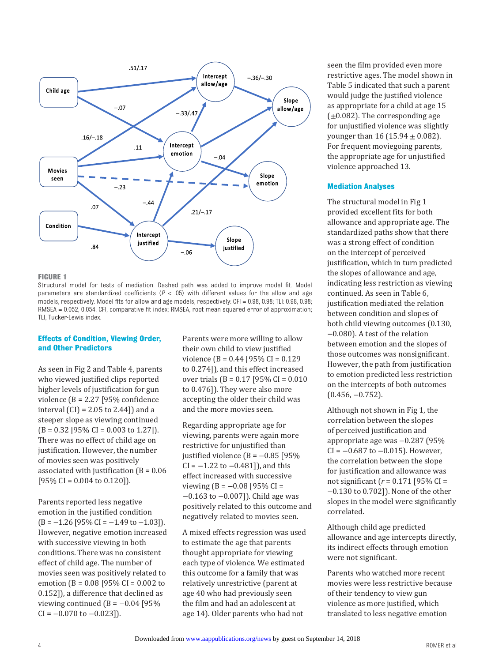

#### <span id="page-3-0"></span>**FIGURE 1**

Structural model for tests of mediation. Dashed path was added to improve model fit. Model parameters are standardized coefficients ( $P < .05$ ) with different values for the allow and age models, respectively. Model fits for allow and age models, respectively: CFI = 0.98, 0.98; TLI: 0.98, 0.98; RMSEA = 0.052, 0.054. CFI, comparative fit index; RMSEA, root mean squared error of approximation; TLI, Tucker-Lewis index.

#### **Effects of Condition, Viewing Order, and Other Predictors**

As seen in [Fig 2](#page-5-0) and Table 4, parents who viewed justified clips reported higher levels of justification for gun violence (B = 2.27 [95% confidence interval  $|CI| = 2.05$  to 2.44]) and a steeper slope as viewing continued  $(B = 0.32$  [95% CI = 0.003 to 1.27]). There was no effect of child age on justification. However, the number of movies seen was positively associated with justification  $(B = 0.06$  $[95\% \text{ CI} = 0.004 \text{ to } 0.120]$ .

Parents reported less negative emotion in the justified condition  $(B = -1.26$  [95% CI =  $-1.49$  to  $-1.03$ ]). However, negative emotion increased with successive viewing in both conditions. There was no consistent effect of child age. The number of movies seen was positively related to emotion (B = 0.08 [95% CI = 0.002 to 0.152]), a difference that declined as viewing continued  $(B = -0.04)$  [95%  $CI = -0.070$  to  $-0.023$ ]).

Parents were more willing to allow their own child to view justified violence (B = 0.44 [95% CI = 0.129 to 0.274]), and this effect increased over trials (B = 0.17 [95% CI = 0.010 to 0.476]). They were also more accepting the older their child was and the more movies seen.

Regarding appropriate age for viewing, parents were again more restrictive for unjustified than justified violence (B =  $-0.85$  [95%  $CI = -1.22$  to  $-0.481$ ]), and this effect increased with successive viewing  $(B = -0.08)$  [95% CI = −0.163 to −0.007]). Child age was positively related to this outcome and negatively related to movies seen.

A mixed effects regression was used to estimate the age that parents thought appropriate for viewing each type of violence. We estimated this outcome for a family that was relatively unrestrictive (parent at age 40 who had previously seen the film and had an adolescent at age 14). Older parents who had not

seen the film provided even more restrictive ages. The model shown in Table 5 indicated that such a parent would judge the justified violence as appropriate for a child at age 15  $(\pm 0.082)$ . The corresponding age for unjustified violence was slightly younger than 16 (15.94  $\pm$  0.082). For frequent moviegoing parents, the appropriate age for unjustified violence approached 13.

#### **Mediation Analyses**

The structural model in [Fig 1](#page-3-0) provided excellent fits for both allowance and appropriate age. The standardized paths show that there was a strong effect of condition on the intercept of perceived justification, which in turn predicted the slopes of allowance and age, indicating less restriction as viewing continued. As seen in Table 6, justification mediated the relation between condition and slopes of both child viewing outcomes (0.130, −0.080). A test of the relation between emotion and the slopes of those outcomes was nonsignificant. However, the path from justification to emotion predicted less restriction on the intercepts of both outcomes (0.456, −0.752).

Although not shown in [Fig 1,](#page-3-0) the correlation between the slopes of perceived justification and appropriate age was −0.287 (95%  $CI = -0.687$  to  $-0.015$ ). However, the correlation between the slope for justification and allowance was not significant (*r* = 0.171 [95% CI = −0.130 to 0.702]). None of the other slopes in the model were significantly correlated.

Although child age predicted allowance and age intercepts directly, its indirect effects through emotion were not significant.

Parents who watched more recent movies were less restrictive because of their tendency to view gun violence as more justified, which translated to less negative emotion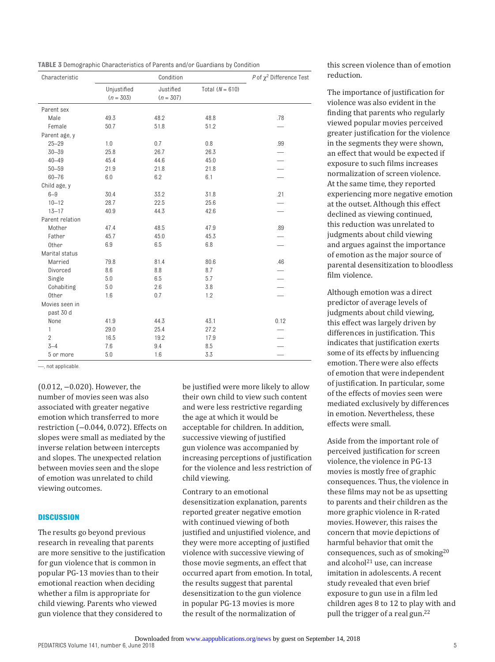| <b>TABLE 3</b> Demographic Characteristics of Parents and/or Guardians by Condition |  |
|-------------------------------------------------------------------------------------|--|
|-------------------------------------------------------------------------------------|--|

| Characteristic  |             | Condition   |                   |                          |  |
|-----------------|-------------|-------------|-------------------|--------------------------|--|
|                 | Unjustified | Justified   | Total $(N = 610)$ |                          |  |
|                 | $(n = 303)$ | $(n = 307)$ |                   |                          |  |
| Parent sex      |             |             |                   |                          |  |
| Male            | 49.3        | 48.2        | 48.8              | .78                      |  |
| Female          | 50.7        | 51.8        | 51.2              |                          |  |
| Parent age, y   |             |             |                   |                          |  |
| $25 - 29$       | 1.0         | 0.7         | 0.8               | .99                      |  |
| $30 - 39$       | 25.8        | 26.7        | 26.3              |                          |  |
| $40 - 49$       | 45.4        | 44.6        | 45.0              |                          |  |
| $50 - 59$       | 21.9        | 21.8        | 21.8              |                          |  |
| $60 - 76$       | 6.0         | 6.2         | 6.1               |                          |  |
| Child age, y    |             |             |                   |                          |  |
| $6 - 9$         | 30.4        | 33.2        | 31.8              | .21                      |  |
| $10 - 12$       | 28.7        | 22.5        | 25.6              |                          |  |
| $13 - 17$       | 40.9        | 44.3        | 42.6              |                          |  |
| Parent relation |             |             |                   |                          |  |
| Mother          | 47.4        | 48.5        | 47.9              | .89                      |  |
| Father          | 45.7        | 45.0        | 45.3              |                          |  |
| Other           | 6.9         | 6.5         | 6.8               |                          |  |
| Marital status  |             |             |                   |                          |  |
| Married         | 79.8        | 81.4        | 80.6              | .46                      |  |
| Divorced        | 8.6         | 8.8         | 8.7               | $\overline{\phantom{0}}$ |  |
| Single          | 5.0         | 6.5         | 5.7               | $\overline{\phantom{0}}$ |  |
| Cohabiting      | $5.0\,$     | 2.6         | 3.8               |                          |  |
| Other           | 1.6         | 0.7         | 1.2               |                          |  |
| Movies seen in  |             |             |                   |                          |  |
| past 30 d       |             |             |                   |                          |  |
| None            | 41.9        | 44.3        | 43.1              | 0.12                     |  |
| $\mathbf{1}$    | 29.0        | 25.4        | 27.2              |                          |  |
| $\overline{2}$  | 16.5        | 19.2        | 17.9              |                          |  |
| $3 - 4$         | 7.6         | 9.4         | 8.5               |                          |  |
| 5 or more       | 5.0         | 1.6         | 3.3               |                          |  |

—, not applicable.

(0.012, −0.020). However, the number of movies seen was also associated with greater negative emotion which transferred to more restriction (−0.044, 0.072). Effects on slopes were small as mediated by the inverse relation between intercepts and slopes. The unexpected relation between movies seen and the slope of emotion was unrelated to child viewing outcomes.

#### **DISCUSSION**

The results go beyond previous research in revealing that parents are more sensitive to the justification for gun violence that is common in popular PG-13 movies than to their emotional reaction when deciding whether a film is appropriate for child viewing. Parents who viewed gun violence that they considered to

be justified were more likely to allow their own child to view such content and were less restrictive regarding the age at which it would be acceptable for children. In addition, successive viewing of justified gun violence was accompanied by increasing perceptions of justification for the violence and less restriction of child viewing.

Contrary to an emotional desensitization explanation, parents reported greater negative emotion with continued viewing of both justified and unjustified violence, and they were more accepting of justified violence with successive viewing of those movie segments, an effect that occurred apart from emotion. In total, the results suggest that parental desensitization to the gun violence in popular PG-13 movies is more the result of the normalization of

this screen violence than of emotion reduction.

The importance of justification for violence was also evident in the finding that parents who regularly viewed popular movies perceived greater justification for the violence in the segments they were shown, an effect that would be expected if exposure to such films increases normalization of screen violence. At the same time, they reported experiencing more negative emotion at the outset. Although this effect declined as viewing continued, this reduction was unrelated to judgments about child viewing and argues against the importance of emotion as the major source of parental desensitization to bloodless film violence.

Although emotion was a direct predictor of average levels of judgments about child viewing, this effect was largely driven by differences in justification. This indicates that justification exerts some of its effects by influencing emotion. There were also effects of emotion that were independent of justification. In particular, some of the effects of movies seen were mediated exclusively by differences in emotion. Nevertheless, these effects were small.

Aside from the important role of perceived justification for screen violence, the violence in PG-13 movies is mostly free of graphic consequences. Thus, the violence in these films may not be as upsetting to parents and their children as the more graphic violence in R-rated movies. However, this raises the concern that movie depictions of harmful behavior that omit the consequences, such as of smoking[20](#page-7-19) and alcohol [21](#page-7-20) use, can increase imitation in adolescents. A recent study revealed that even brief exposure to gun use in a film led children ages 8 to 12 to play with and pull the trigger of a real gun. [22](#page-8-0)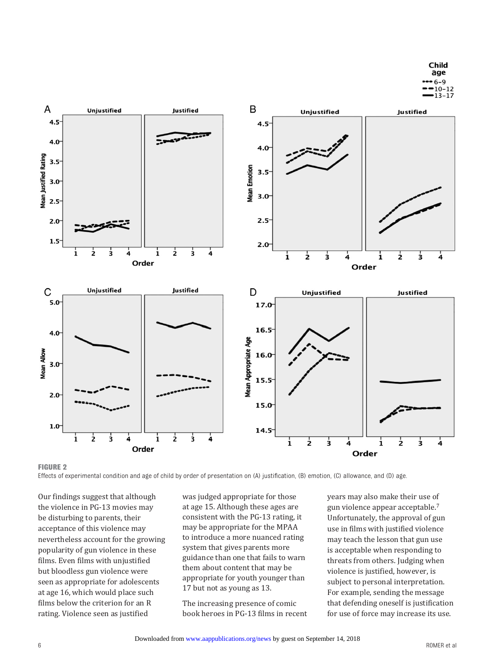Child age  $6-9$  $-10-12$  $13 - 17$ 



<span id="page-5-0"></span>

Effects of experimental condition and age of child by order of presentation on (A) justification, (B) emotion, (C) allowance, and (D) age.

Our findings suggest that although the violence in PG-13 movies may be disturbing to parents, their acceptance of this violence may nevertheless account for the growing popularity of gun violence in these films. Even films with unjustified but bloodless gun violence were seen as appropriate for adolescents at age 16, which would place such films below the criterion for an R rating. Violence seen as justified

was judged appropriate for those at age 15. Although these ages are consistent with the PG-13 rating, it may be appropriate for the MPAA to introduce a more nuanced rating system that gives parents more guidance than one that fails to warn them about content that may be appropriate for youth younger than 17 but not as young as 13.

The increasing presence of comic book heroes in PG-13 films in recent years may also make their use of gun violence appear acceptable. [7](#page-7-6) Unfortunately, the approval of gun use in films with justified violence may teach the lesson that gun use is acceptable when responding to threats from others. Judging when violence is justified, however, is subject to personal interpretation. For example, sending the message that defending oneself is justification for use of force may increase its use.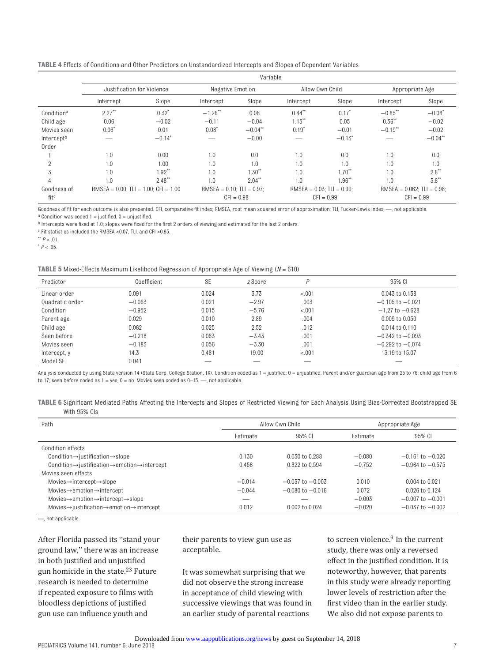|                        | Variable                                     |           |                                 |              |                                 |                      |                                  |              |
|------------------------|----------------------------------------------|-----------|---------------------------------|--------------|---------------------------------|----------------------|----------------------------------|--------------|
|                        | Justification for Violence                   |           | Negative Emotion                |              | Allow Own Child                 |                      | Appropriate Age                  |              |
|                        | Intercept                                    | Slope     | Intercept                       | Slope        | Intercept                       | Slope                | Intercept                        | Slope        |
| Condition <sup>a</sup> | $2.27**$                                     | $0.32*$   | $-1.26$ **                      | 0.08         | $0.44***$                       | $0.17*$              | $-0.85$ **                       | $-0.08*$     |
| Child age              | 0.06                                         | $-0.02$   | $-0.11$                         | $-0.04$      | $1.15**$                        | 0.05                 | $0.36**$                         | $-0.02$      |
| Movies seen            | $0.06*$                                      | 0.01      | $0.08*$                         | $-0.04**$    | $0.19*$                         | $-0.01$              | $-0.19**$                        | $-0.02$      |
| Intercept <sup>b</sup> |                                              | $-0.14^*$ |                                 | $-0.00$      |                                 | $-0.13$ <sup>*</sup> |                                  | $-0.04**$    |
| Order                  |                                              |           |                                 |              |                                 |                      |                                  |              |
|                        | 1.0                                          | 0.00      | 1.0                             | 0.0          | 1.0                             | 0.0                  | 1.0                              | 0.0          |
| $\overline{2}$         | 1.0                                          | 1.00      | 1.0                             | 1.0          | 1.0                             | 1.0                  | 1.0                              | 1.0          |
|                        | 1.0                                          | $1.92**$  | 1.0                             | $1.30**$     | 1.0                             | $1.70**$             | 1.0                              | $2.8***$     |
| 4                      | 1.0                                          | $2.48**$  | 1.0                             | $2.04**$     | 1.0                             | $1.96**$             | 1.0                              | $3.8**$      |
| Goodness of            | RMSEA = $0.00$ ; TLI = $1.00$ ; CFI = $1.00$ |           | RMSEA = $0.10$ ; TLI = $0.97$ ; |              | RMSEA = $0.03$ ; TLI = $0.99$ ; |                      | RMSEA = $0.062$ ; TLI = $0.98$ ; |              |
| fit <sup>c</sup>       |                                              |           |                                 | $CFI = 0.98$ |                                 | $CFI = 0.99$         |                                  | $CFI = 0.99$ |

Goodness of fit for each outcome is also presented. CFI, comparative fit index; RMSEA, root mean squared error of approximation; TLI, Tucker-Lewis index; ---, not applicable.  $a$  Condition was coded  $1 =$  justified,  $0 =$  unjustified.

b Intercepts were fixed at 1.0; slopes were fixed for the first 2 orders of viewing and estimated for the last 2 orders.

c Fit statistics included the RMSEA <0.07, TLI, and CFI >0.95.

 $*$  *P* < 01

 $*$   $P < .05$ .

#### **TABLE 5** Mixed-Effects Maximum Likelihood Regression of Appropriate Age of Viewing (*N* = 610)

| Predictor       | Coefficient | <b>SE</b> | z Score | D      | 95% CI               |
|-----------------|-------------|-----------|---------|--------|----------------------|
| Linear order    | 0.091       | 0.024     | 3.73    | < .001 | $0.043$ to $0.138$   |
| Quadratic order | $-0.063$    | 0.021     | $-2.97$ | .003   | $-0.105$ to $-0.021$ |
| Condition       | $-0.952$    | 0.015     | $-5.76$ | < .001 | $-1.27$ to $-0.628$  |
| Parent age      | 0.029       | 0.010     | 2.89    | .004   | $0.009$ to $0.050$   |
| Child age       | 0.062       | 0.025     | 2.52    | .012   | $0.014$ to $0.110$   |
| Seen before     | $-0.218$    | 0.063     | $-3.43$ | .001   | $-0.342$ to $-0.093$ |
| Movies seen     | $-0.183$    | 0.056     | $-3.30$ | .001   | $-0.292$ to $-0.074$ |
| Intercept, y    | 14.3        | 0.481     | 19.00   | < .001 | 13.19 to 15.07       |
| Model SE        | 0.041       |           |         |        |                      |

Analysis conducted by using Stata version 14 (Stata Corp, College Station, TX). Condition coded as 1 = justified; 0 = unjustified. Parent and/or guardian age from 25 to 76; child age from 6 to 17; seen before coded as  $1 = yes$ ;  $0 = no$ . Movies seen coded as  $0-15$ . -, not applicable.

| <b>TABLE 6</b> Significant Mediated Paths Affecting the Intercepts and Slopes of Restricted Viewing for Each Analysis Using Bias-Corrected Bootstrapped SE |  |  |  |
|------------------------------------------------------------------------------------------------------------------------------------------------------------|--|--|--|
| With 95% Cls                                                                                                                                               |  |  |  |

| Path                                                                                |          | Allow Own Child      | Appropriate Age |                      |
|-------------------------------------------------------------------------------------|----------|----------------------|-----------------|----------------------|
|                                                                                     | Estimate | 95% CI               | Estimate        | 95% CI               |
| Condition effects                                                                   |          |                      |                 |                      |
| $Condition \rightarrow justification \rightarrow slope$                             | 0.130    | 0.030 to 0.288       | $-0.080$        | $-0.161$ to $-0.020$ |
| Condition $\rightarrow$ justification $\rightarrow$ emotion $\rightarrow$ intercept | 0.456    | 0.322 to 0.594       | $-0.752$        | $-0.964$ to $-0.575$ |
| Movies seen effects                                                                 |          |                      |                 |                      |
| Movies $\rightarrow$ intercept $\rightarrow$ slope                                  | $-0.014$ | $-0.037$ to $-0.003$ | 0.010           | $0.004$ to $0.021$   |
| $Movies \rightarrow emotion \rightarrow intercept$                                  | $-0.044$ | $-0.080$ to $-0.016$ | 0.072           | 0.026 to 0.124       |
| Movies $\rightarrow$ emotion $\rightarrow$ intercept $\rightarrow$ slope            | __       |                      | $-0.003$        | $-0.007$ to $-0.001$ |
| Movies $\rightarrow$ justification $\rightarrow$ emotion $\rightarrow$ intercept    | 0.012    | $0.002$ to $0.024$   | $-0.020$        | $-0.037$ to $-0.002$ |

—, not applicable.

After Florida passed its "stand your ground law," there was an increase in both justified and unjustified gun homicide in the state. [23](#page-8-1) Future research is needed to determine if repeated exposure to films with bloodless depictions of justified gun use can influence youth and

their parents to view gun use as acceptable.

It was somewhat surprising that we did not observe the strong increase in acceptance of child viewing with successive viewings that was found in an earlier study of parental reactions

to screen violence. [9](#page-7-8) In the current study, there was only a reversed effect in the justified condition. It is noteworthy, however, that parents in this study were already reporting lower levels of restriction after the first video than in the earlier study. We also did not expose parents to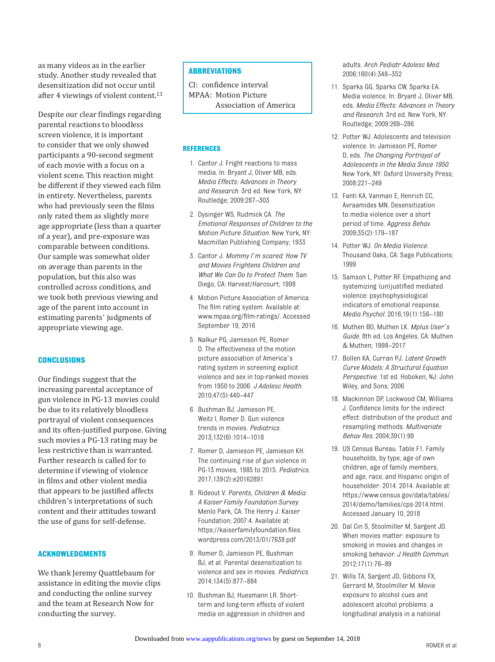as many videos as in the earlier study. Another study revealed that desensitization did not occur until after 4 viewings of violent content. [13](#page-7-12)

Despite our clear findings regarding parental reactions to bloodless screen violence, it is important to consider that we only showed participants a 90-second segment of each movie with a focus on a violent scene. This reaction might be different if they viewed each film in entirety. Nevertheless, parents who had previously seen the films only rated them as slightly more age appropriate (less than a quarter of a year), and pre-exposure was comparable between conditions. Our sample was somewhat older on average than parents in the population, but this also was controlled across conditions, and we took both previous viewing and age of the parent into account in estimating parents' judgments of appropriate viewing age.

#### **CONCLUSIONS**

Our findings suggest that the increasing parental acceptance of gun violence in PG-13 movies could be due to its relatively bloodless portrayal of violent consequences and its often-justified purpose. Giving such movies a PG-13 rating may be less restrictive than is warranted. Further research is called for to determine if viewing of violence in films and other violent media that appears to be justified affects children's interpretations of such content and their attitudes toward the use of guns for self-defense.

#### **ACKNOWLEDGMENTS**

We thank Jeremy Quattlebaum for assistance in editing the movie clips and conducting the online survey and the team at Research Now for conducting the survey.

#### **ABBREVIATIONS**

CI: confidence interval MPAA: Motion Picture Association of America

#### **REFERENCES**

- <span id="page-7-0"></span>1. Cantor J. Fright reactions to mass media. In: Bryant J, Oliver MB, eds. *Media Effects: Advances in Theory and Research*. 3rd ed. New York, NY: Routledge; 2009:287–303
- <span id="page-7-3"></span>2. Dysinger WS, Rudmick CA. *The Emotional Responses of Children to the Motion Picture Situation*. New York, NY: Macmillan Publishing Company; 1933
- <span id="page-7-1"></span>3. Cantor J. *Mommy I'm scared: How TV and Movies Frightens Children and What We Can Do to Protect Them*. San Diego, CA: Harvest/Harcourt; 1998
- <span id="page-7-2"></span>4. Motion Picture Association of America. The film rating system. Available at: [www.mpaa.org/film-ratings/.](www.mpaa.org/film-ratings/) Accessed September 19, 2016
- <span id="page-7-4"></span>5. Nalkur PG, Jamieson PE, Romer D. The effectiveness of the motion picture association of America's rating system in screening explicit violence and sex in top-ranked movies from 1950 to 2006. *J Adolesc Health*. 2010;47(5):440–447
- <span id="page-7-5"></span>6. Bushman BJ, Jamieson PE, Weitz I, Romer D. Gun violence trends in movies. *Pediatrics*. 2013;132(6):1014–1018
- <span id="page-7-6"></span>7. Romer D, Jamieson PE, Jamieson KH. The continuing rise of gun violence in PG-13 movies, 1985 to 2015. *Pediatrics*. 2017;139(2):e20162891
- <span id="page-7-7"></span>8. Rideout V. *Parents, Children & Media: A Kaiser Family Foundation Survey*. Menlo Park, CA: The Henry J. Kaiser Foundation; 2007:4. Available at: [https://kaiserfamilyfoundation.files.](https://kaiserfamilyfoundation.files.wordpress.com/2013/01/7638.pdf) [wordpress.com/2013/01/7638.pdf](https://kaiserfamilyfoundation.files.wordpress.com/2013/01/7638.pdf)
- <span id="page-7-8"></span>9. Romer D, Jamieson PE, Bushman BJ, et al. Parental desensitization to violence and sex in movies. *Pediatrics*. 2014;134(5):877–884
- <span id="page-7-9"></span>10. Bushman BJ, Huesmann LR. Shortterm and long-term effects of violent media on aggression in children and

adults. *Arch Pediatr Adolesc Med*. 2006;160(4):348–352

- <span id="page-7-10"></span>11. Sparks GG, Sparks CW, Sparks EA. Media violence. In: Bryant J, Oliver MB, eds. *Media Effects: Advances in Theory and Research*. 3rd ed. New York, NY: Routledge; 2009:269–286
- <span id="page-7-11"></span>12. Potter WJ. Adolescents and television violence. In: Jamieson PE, Romer D, eds. *The Changing Portrayal of Adolescents in the Media Since 1950*. New York, NY: Oxford University Press; 2008:221–249
- <span id="page-7-12"></span>13. Fanti KA, Vanman E, Henrich CC, Avraamides MN. Desensitization to media violence over a short period of time. *Aggress Behav*. 2009;35(2):179–187
- <span id="page-7-13"></span>14. Potter WJ. *On Media Violence*. Thousand Oaks, CA: Sage Publications; 1999
- <span id="page-7-14"></span>15. Samson L, Potter RF. Empathizing and systemizing (un)justified mediated violence: psychophysiological indicators of emotional response. *Media Psychol*. 2016;19(1):156–180
- <span id="page-7-15"></span>16. Muthen BO, Muthen LK. *Mplus User's Guide*. 8th ed. Los Angeles, CA: Muthen & Muthen; 1998–2017
- <span id="page-7-16"></span>17. Bollen KA, Curran PJ. *Latent Growth Curve Models: A Structural Equation Perspective*. 1st ed. Hoboken, NJ: John Wiley, and Sons; 2006
- <span id="page-7-17"></span>18. Mackinnon DP, Lockwood CM, Williams J. Confidence limits for the indirect effect: distribution of the product and resampling methods. *Multivariate Behav Res*. 2004;39(1):99
- <span id="page-7-18"></span>19. US Census Bureau. Table F1. Family households, by type, age of own children, age of family members, and age, race, and Hispanic origin of householder: 2014. 2014. Available at: [https://www.census.gov/data/tables/](https://www.census.gov/data/tables/2014/demo/families/cps-2014.html) [2014/demo/families/cps-2014.html.](https://www.census.gov/data/tables/2014/demo/families/cps-2014.html) Accessed January 10, 2018
- <span id="page-7-19"></span>20. Dal Cin S, Stoolmiller M, Sargent JD. When movies matter: exposure to smoking in movies and changes in smoking behavior. *J Health Commun*. 2012;17(1):76–89
- <span id="page-7-20"></span>21. Wills TA, Sargent JD, Gibbons FX, Gerrard M, Stoolmiller M. Movie exposure to alcohol cues and adolescent alcohol problems: a longitudinal analysis in a national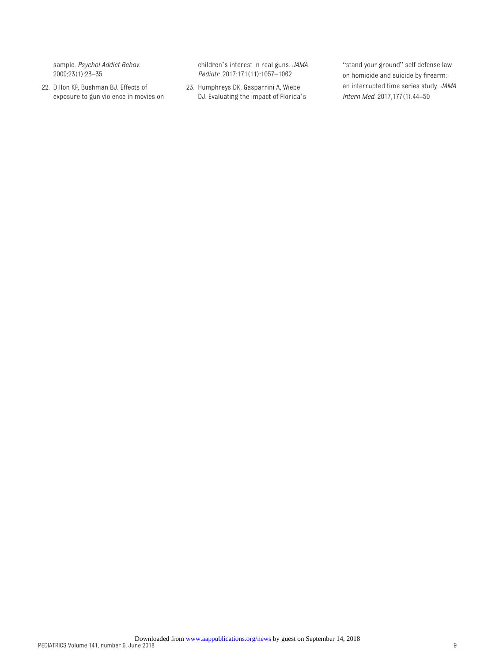sample. *Psychol Addict Behav*. 2009;23(1):23–35

<span id="page-8-0"></span>22. Dillon KP, Bushman BJ. Effects of exposure to gun violence in movies on children's interest in real guns. *JAMA Pediatr*. 2017;171(11):1057–1062

<span id="page-8-1"></span>23. Humphreys DK, Gasparrini A, Wiebe DJ. Evaluating the impact of Florida's "stand your ground" self-defense law on homicide and suicide by firearm: an interrupted time series study. *JAMA Intern Med*. 2017;177(1):44–50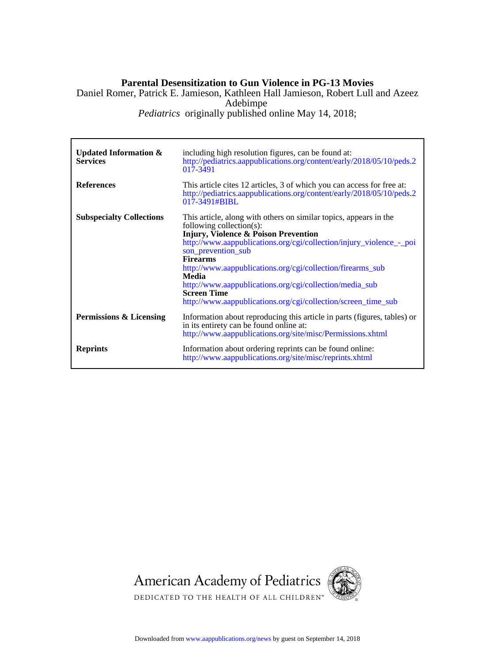### **Parental Desensitization to Gun Violence in PG-13 Movies**

*Pediatrics* originally published online May 14, 2018; Adebimpe Daniel Romer, Patrick E. Jamieson, Kathleen Hall Jamieson, Robert Lull and Azeez

| Updated Information $\&$<br><b>Services</b> | including high resolution figures, can be found at:<br>http://pediatrics.aappublications.org/content/early/2018/05/10/peds.2<br>017-3491                                                                                                                                                                                                                                                                                                                                                  |
|---------------------------------------------|-------------------------------------------------------------------------------------------------------------------------------------------------------------------------------------------------------------------------------------------------------------------------------------------------------------------------------------------------------------------------------------------------------------------------------------------------------------------------------------------|
| <b>References</b>                           | This article cites 12 articles, 3 of which you can access for free at:<br>http://pediatrics.aappublications.org/content/early/2018/05/10/peds.2<br>017-3491#BIBL                                                                                                                                                                                                                                                                                                                          |
| <b>Subspecialty Collections</b>             | This article, along with others on similar topics, appears in the<br>following collection(s):<br><b>Injury, Violence &amp; Poison Prevention</b><br>http://www.aappublications.org/cgi/collection/injury_violence_-_poi<br>son_prevention_sub<br><b>Firearms</b><br>http://www.aappublications.org/cgi/collection/firearms_sub<br>Media<br>http://www.aappublications.org/cgi/collection/media sub<br><b>Screen Time</b><br>http://www.aappublications.org/cgi/collection/screen time sub |
| Permissions & Licensing                     | Information about reproducing this article in parts (figures, tables) or<br>in its entirety can be found online at:<br>http://www.aappublications.org/site/misc/Permissions.xhtml                                                                                                                                                                                                                                                                                                         |
| <b>Reprints</b>                             | Information about ordering reprints can be found online:<br>http://www.aappublications.org/site/misc/reprints.xhtml                                                                                                                                                                                                                                                                                                                                                                       |